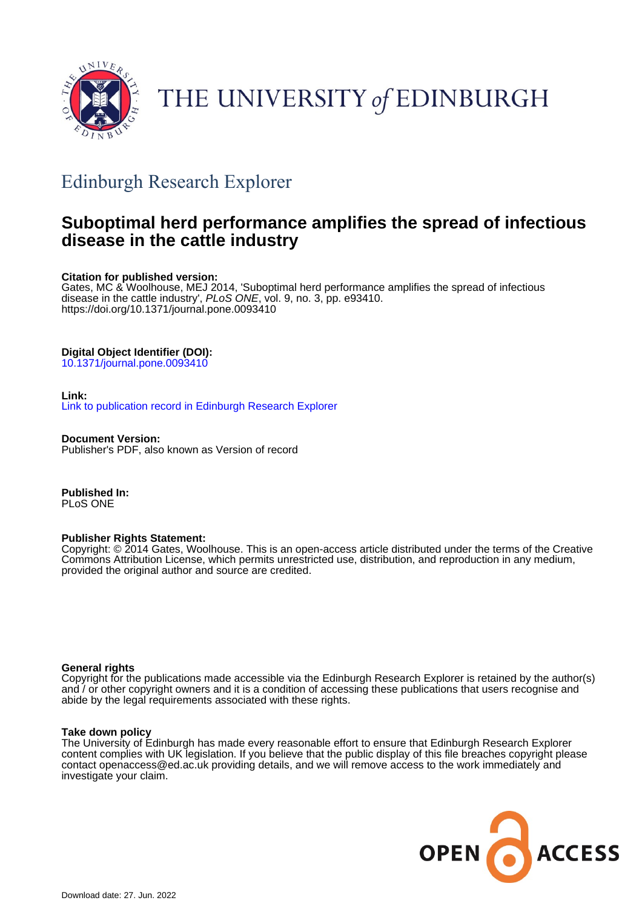

# THE UNIVERSITY of EDINBURGH

## Edinburgh Research Explorer

## **Suboptimal herd performance amplifies the spread of infectious disease in the cattle industry**

## **Citation for published version:**

Gates, MC & Woolhouse, MEJ 2014, 'Suboptimal herd performance amplifies the spread of infectious disease in the cattle industry', PLoS ONE, vol. 9, no. 3, pp. e93410. <https://doi.org/10.1371/journal.pone.0093410>

## **Digital Object Identifier (DOI):**

[10.1371/journal.pone.0093410](https://doi.org/10.1371/journal.pone.0093410)

## **Link:**

[Link to publication record in Edinburgh Research Explorer](https://www.research.ed.ac.uk/en/publications/fb25d127-c299-47d0-bcba-0e11387baead)

**Document Version:** Publisher's PDF, also known as Version of record

**Published In:** PLoS ONE

## **Publisher Rights Statement:**

Copyright: © 2014 Gates, Woolhouse. This is an open-access article distributed under the terms of the Creative Commons Attribution License, which permits unrestricted use, distribution, and reproduction in any medium, provided the original author and source are credited.

## **General rights**

Copyright for the publications made accessible via the Edinburgh Research Explorer is retained by the author(s) and / or other copyright owners and it is a condition of accessing these publications that users recognise and abide by the legal requirements associated with these rights.

## **Take down policy**

The University of Edinburgh has made every reasonable effort to ensure that Edinburgh Research Explorer content complies with UK legislation. If you believe that the public display of this file breaches copyright please contact openaccess@ed.ac.uk providing details, and we will remove access to the work immediately and investigate your claim.

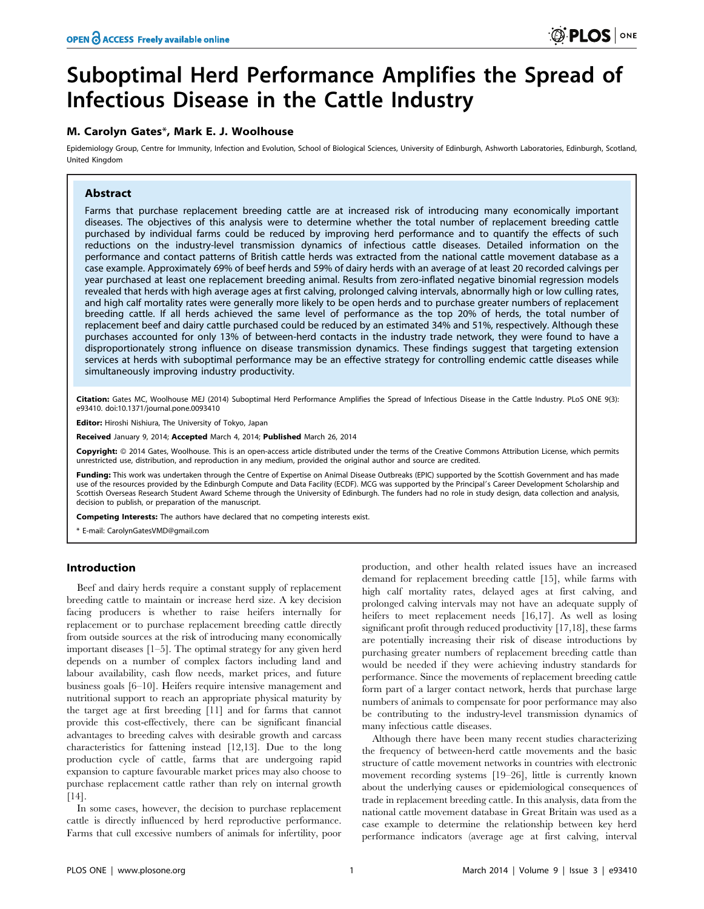## Suboptimal Herd Performance Amplifies the Spread of Infectious Disease in the Cattle Industry

## M. Carolyn Gates\*, Mark E. J. Woolhouse

Epidemiology Group, Centre for Immunity, Infection and Evolution, School of Biological Sciences, University of Edinburgh, Ashworth Laboratories, Edinburgh, Scotland, United Kingdom

## Abstract

Farms that purchase replacement breeding cattle are at increased risk of introducing many economically important diseases. The objectives of this analysis were to determine whether the total number of replacement breeding cattle purchased by individual farms could be reduced by improving herd performance and to quantify the effects of such reductions on the industry-level transmission dynamics of infectious cattle diseases. Detailed information on the performance and contact patterns of British cattle herds was extracted from the national cattle movement database as a case example. Approximately 69% of beef herds and 59% of dairy herds with an average of at least 20 recorded calvings per year purchased at least one replacement breeding animal. Results from zero-inflated negative binomial regression models revealed that herds with high average ages at first calving, prolonged calving intervals, abnormally high or low culling rates, and high calf mortality rates were generally more likely to be open herds and to purchase greater numbers of replacement breeding cattle. If all herds achieved the same level of performance as the top 20% of herds, the total number of replacement beef and dairy cattle purchased could be reduced by an estimated 34% and 51%, respectively. Although these purchases accounted for only 13% of between-herd contacts in the industry trade network, they were found to have a disproportionately strong influence on disease transmission dynamics. These findings suggest that targeting extension services at herds with suboptimal performance may be an effective strategy for controlling endemic cattle diseases while simultaneously improving industry productivity.

Citation: Gates MC, Woolhouse MEJ (2014) Suboptimal Herd Performance Amplifies the Spread of Infectious Disease in the Cattle Industry. PLoS ONE 9(3): e93410. doi:10.1371/journal.pone.0093410

Editor: Hiroshi Nishiura, The University of Tokyo, Japan

Received January 9, 2014; Accepted March 4, 2014; Published March 26, 2014

Copyright: © 2014 Gates, Woolhouse. This is an open-access article distributed under the terms of the [Creative Commons Attribution License,](http://creativecommons.org/licenses/by/4.0/) which permits unrestricted use, distribution, and reproduction in any medium, provided the original author and source are credited.

Funding: This work was undertaken through the Centre of Expertise on Animal Disease Outbreaks (EPIC) supported by the Scottish Government and has made use of the resources provided by the Edinburgh Compute and Data Facility (ECDF). MCG was supported by the Principal's Career Development Scholarship and Scottish Overseas Research Student Award Scheme through the University of Edinburgh. The funders had no role in study design, data collection and analysis, decision to publish, or preparation of the manuscript.

Competing Interests: The authors have declared that no competing interests exist.

\* E-mail: CarolynGatesVMD@gmail.com

#### Introduction

Beef and dairy herds require a constant supply of replacement breeding cattle to maintain or increase herd size. A key decision facing producers is whether to raise heifers internally for replacement or to purchase replacement breeding cattle directly from outside sources at the risk of introducing many economically important diseases [1–5]. The optimal strategy for any given herd depends on a number of complex factors including land and labour availability, cash flow needs, market prices, and future business goals [6–10]. Heifers require intensive management and nutritional support to reach an appropriate physical maturity by the target age at first breeding [11] and for farms that cannot provide this cost-effectively, there can be significant financial advantages to breeding calves with desirable growth and carcass characteristics for fattening instead [12,13]. Due to the long production cycle of cattle, farms that are undergoing rapid expansion to capture favourable market prices may also choose to purchase replacement cattle rather than rely on internal growth [14].

In some cases, however, the decision to purchase replacement cattle is directly influenced by herd reproductive performance. Farms that cull excessive numbers of animals for infertility, poor

production, and other health related issues have an increased demand for replacement breeding cattle [15], while farms with high calf mortality rates, delayed ages at first calving, and prolonged calving intervals may not have an adequate supply of heifers to meet replacement needs [16,17]. As well as losing significant profit through reduced productivity [17,18], these farms are potentially increasing their risk of disease introductions by purchasing greater numbers of replacement breeding cattle than would be needed if they were achieving industry standards for performance. Since the movements of replacement breeding cattle form part of a larger contact network, herds that purchase large numbers of animals to compensate for poor performance may also be contributing to the industry-level transmission dynamics of many infectious cattle diseases.

Although there have been many recent studies characterizing the frequency of between-herd cattle movements and the basic structure of cattle movement networks in countries with electronic movement recording systems [19–26], little is currently known about the underlying causes or epidemiological consequences of trade in replacement breeding cattle. In this analysis, data from the national cattle movement database in Great Britain was used as a case example to determine the relationship between key herd performance indicators (average age at first calving, interval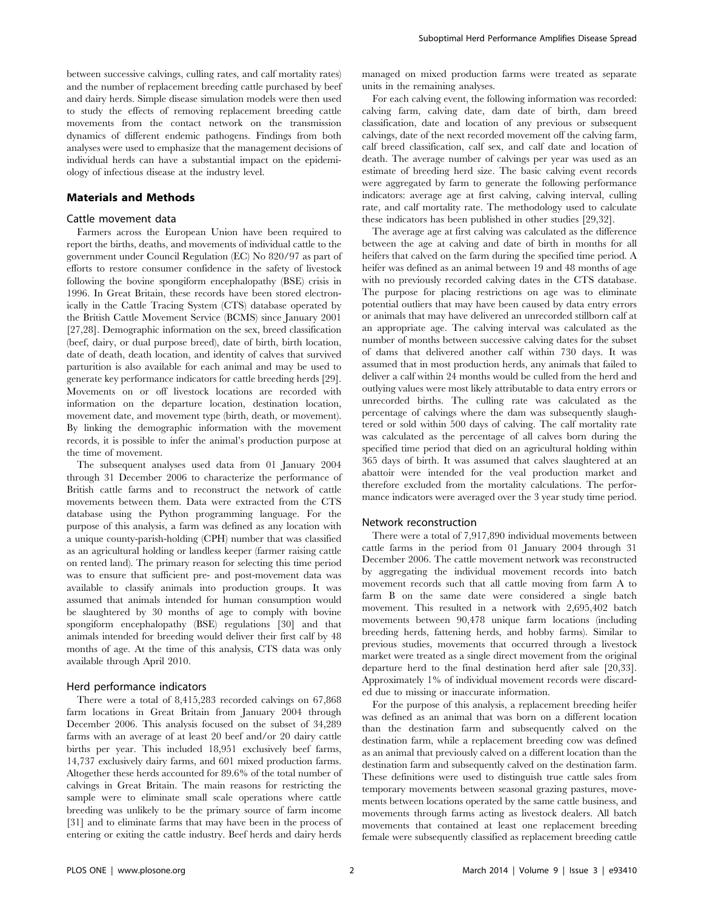#### Materials and Methods

#### Cattle movement data

Farmers across the European Union have been required to report the births, deaths, and movements of individual cattle to the government under Council Regulation (EC) No 820/97 as part of efforts to restore consumer confidence in the safety of livestock following the bovine spongiform encephalopathy (BSE) crisis in 1996. In Great Britain, these records have been stored electronically in the Cattle Tracing System (CTS) database operated by the British Cattle Movement Service (BCMS) since January 2001 [27,28]. Demographic information on the sex, breed classification (beef, dairy, or dual purpose breed), date of birth, birth location, date of death, death location, and identity of calves that survived parturition is also available for each animal and may be used to generate key performance indicators for cattle breeding herds [29]. Movements on or off livestock locations are recorded with information on the departure location, destination location, movement date, and movement type (birth, death, or movement). By linking the demographic information with the movement records, it is possible to infer the animal's production purpose at the time of movement.

The subsequent analyses used data from 01 January 2004 through 31 December 2006 to characterize the performance of British cattle farms and to reconstruct the network of cattle movements between them. Data were extracted from the CTS database using the Python programming language. For the purpose of this analysis, a farm was defined as any location with a unique county-parish-holding (CPH) number that was classified as an agricultural holding or landless keeper (farmer raising cattle on rented land). The primary reason for selecting this time period was to ensure that sufficient pre- and post-movement data was available to classify animals into production groups. It was assumed that animals intended for human consumption would be slaughtered by 30 months of age to comply with bovine spongiform encephalopathy (BSE) regulations [30] and that animals intended for breeding would deliver their first calf by 48 months of age. At the time of this analysis, CTS data was only available through April 2010.

#### Herd performance indicators

There were a total of 8,415,283 recorded calvings on 67,868 farm locations in Great Britain from January 2004 through December 2006. This analysis focused on the subset of 34,289 farms with an average of at least 20 beef and/or 20 dairy cattle births per year. This included 18,951 exclusively beef farms, 14,737 exclusively dairy farms, and 601 mixed production farms. Altogether these herds accounted for 89.6% of the total number of calvings in Great Britain. The main reasons for restricting the sample were to eliminate small scale operations where cattle breeding was unlikely to be the primary source of farm income [31] and to eliminate farms that may have been in the process of entering or exiting the cattle industry. Beef herds and dairy herds managed on mixed production farms were treated as separate units in the remaining analyses.

For each calving event, the following information was recorded: calving farm, calving date, dam date of birth, dam breed classification, date and location of any previous or subsequent calvings, date of the next recorded movement off the calving farm, calf breed classification, calf sex, and calf date and location of death. The average number of calvings per year was used as an estimate of breeding herd size. The basic calving event records were aggregated by farm to generate the following performance indicators: average age at first calving, calving interval, culling rate, and calf mortality rate. The methodology used to calculate these indicators has been published in other studies [29,32].

The average age at first calving was calculated as the difference between the age at calving and date of birth in months for all heifers that calved on the farm during the specified time period. A heifer was defined as an animal between 19 and 48 months of age with no previously recorded calving dates in the CTS database. The purpose for placing restrictions on age was to eliminate potential outliers that may have been caused by data entry errors or animals that may have delivered an unrecorded stillborn calf at an appropriate age. The calving interval was calculated as the number of months between successive calving dates for the subset of dams that delivered another calf within 730 days. It was assumed that in most production herds, any animals that failed to deliver a calf within 24 months would be culled from the herd and outlying values were most likely attributable to data entry errors or unrecorded births. The culling rate was calculated as the percentage of calvings where the dam was subsequently slaughtered or sold within 500 days of calving. The calf mortality rate was calculated as the percentage of all calves born during the specified time period that died on an agricultural holding within 365 days of birth. It was assumed that calves slaughtered at an abattoir were intended for the veal production market and therefore excluded from the mortality calculations. The performance indicators were averaged over the 3 year study time period.

#### Network reconstruction

There were a total of 7,917,890 individual movements between cattle farms in the period from 01 January 2004 through 31 December 2006. The cattle movement network was reconstructed by aggregating the individual movement records into batch movement records such that all cattle moving from farm A to farm B on the same date were considered a single batch movement. This resulted in a network with 2,695,402 batch movements between 90,478 unique farm locations (including breeding herds, fattening herds, and hobby farms). Similar to previous studies, movements that occurred through a livestock market were treated as a single direct movement from the original departure herd to the final destination herd after sale [20,33]. Approximately 1% of individual movement records were discarded due to missing or inaccurate information.

For the purpose of this analysis, a replacement breeding heifer was defined as an animal that was born on a different location than the destination farm and subsequently calved on the destination farm, while a replacement breeding cow was defined as an animal that previously calved on a different location than the destination farm and subsequently calved on the destination farm. These definitions were used to distinguish true cattle sales from temporary movements between seasonal grazing pastures, movements between locations operated by the same cattle business, and movements through farms acting as livestock dealers. All batch movements that contained at least one replacement breeding female were subsequently classified as replacement breeding cattle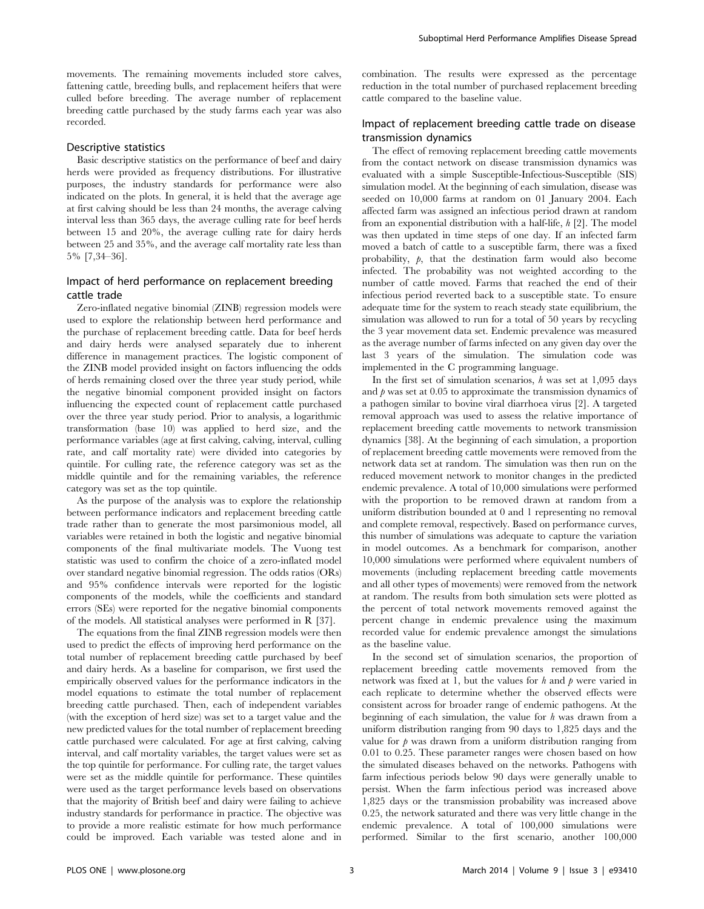movements. The remaining movements included store calves, fattening cattle, breeding bulls, and replacement heifers that were culled before breeding. The average number of replacement breeding cattle purchased by the study farms each year was also recorded.

#### Descriptive statistics

Basic descriptive statistics on the performance of beef and dairy herds were provided as frequency distributions. For illustrative purposes, the industry standards for performance were also indicated on the plots. In general, it is held that the average age at first calving should be less than 24 months, the average calving interval less than 365 days, the average culling rate for beef herds between 15 and 20%, the average culling rate for dairy herds between 25 and 35%, and the average calf mortality rate less than 5% [7,34–36].

## Impact of herd performance on replacement breeding cattle trade

Zero-inflated negative binomial (ZINB) regression models were used to explore the relationship between herd performance and the purchase of replacement breeding cattle. Data for beef herds and dairy herds were analysed separately due to inherent difference in management practices. The logistic component of the ZINB model provided insight on factors influencing the odds of herds remaining closed over the three year study period, while the negative binomial component provided insight on factors influencing the expected count of replacement cattle purchased over the three year study period. Prior to analysis, a logarithmic transformation (base 10) was applied to herd size, and the performance variables (age at first calving, calving, interval, culling rate, and calf mortality rate) were divided into categories by quintile. For culling rate, the reference category was set as the middle quintile and for the remaining variables, the reference category was set as the top quintile.

As the purpose of the analysis was to explore the relationship between performance indicators and replacement breeding cattle trade rather than to generate the most parsimonious model, all variables were retained in both the logistic and negative binomial components of the final multivariate models. The Vuong test statistic was used to confirm the choice of a zero-inflated model over standard negative binomial regression. The odds ratios (ORs) and 95% confidence intervals were reported for the logistic components of the models, while the coefficients and standard errors (SEs) were reported for the negative binomial components of the models. All statistical analyses were performed in R [37].

The equations from the final ZINB regression models were then used to predict the effects of improving herd performance on the total number of replacement breeding cattle purchased by beef and dairy herds. As a baseline for comparison, we first used the empirically observed values for the performance indicators in the model equations to estimate the total number of replacement breeding cattle purchased. Then, each of independent variables (with the exception of herd size) was set to a target value and the new predicted values for the total number of replacement breeding cattle purchased were calculated. For age at first calving, calving interval, and calf mortality variables, the target values were set as the top quintile for performance. For culling rate, the target values were set as the middle quintile for performance. These quintiles were used as the target performance levels based on observations that the majority of British beef and dairy were failing to achieve industry standards for performance in practice. The objective was to provide a more realistic estimate for how much performance could be improved. Each variable was tested alone and in

combination. The results were expressed as the percentage reduction in the total number of purchased replacement breeding cattle compared to the baseline value.

## Impact of replacement breeding cattle trade on disease transmission dynamics

The effect of removing replacement breeding cattle movements from the contact network on disease transmission dynamics was evaluated with a simple Susceptible-Infectious-Susceptible (SIS) simulation model. At the beginning of each simulation, disease was seeded on 10,000 farms at random on 01 January 2004. Each affected farm was assigned an infectious period drawn at random from an exponential distribution with a half-life, h [2]. The model was then updated in time steps of one day. If an infected farm moved a batch of cattle to a susceptible farm, there was a fixed probability,  $\beta$ , that the destination farm would also become infected. The probability was not weighted according to the number of cattle moved. Farms that reached the end of their infectious period reverted back to a susceptible state. To ensure adequate time for the system to reach steady state equilibrium, the simulation was allowed to run for a total of 50 years by recycling the 3 year movement data set. Endemic prevalence was measured as the average number of farms infected on any given day over the last 3 years of the simulation. The simulation code was implemented in the C programming language.

In the first set of simulation scenarios,  $h$  was set at 1,095 days and  $\beta$  was set at 0.05 to approximate the transmission dynamics of a pathogen similar to bovine viral diarrhoea virus [2]. A targeted removal approach was used to assess the relative importance of replacement breeding cattle movements to network transmission dynamics [38]. At the beginning of each simulation, a proportion of replacement breeding cattle movements were removed from the network data set at random. The simulation was then run on the reduced movement network to monitor changes in the predicted endemic prevalence. A total of 10,000 simulations were performed with the proportion to be removed drawn at random from a uniform distribution bounded at 0 and 1 representing no removal and complete removal, respectively. Based on performance curves, this number of simulations was adequate to capture the variation in model outcomes. As a benchmark for comparison, another 10,000 simulations were performed where equivalent numbers of movements (including replacement breeding cattle movements and all other types of movements) were removed from the network at random. The results from both simulation sets were plotted as the percent of total network movements removed against the percent change in endemic prevalence using the maximum recorded value for endemic prevalence amongst the simulations as the baseline value.

In the second set of simulation scenarios, the proportion of replacement breeding cattle movements removed from the network was fixed at 1, but the values for  $h$  and  $p$  were varied in each replicate to determine whether the observed effects were consistent across for broader range of endemic pathogens. At the beginning of each simulation, the value for  $h$  was drawn from a uniform distribution ranging from 90 days to 1,825 days and the value for  $\beta$  was drawn from a uniform distribution ranging from 0.01 to 0.25. These parameter ranges were chosen based on how the simulated diseases behaved on the networks. Pathogens with farm infectious periods below 90 days were generally unable to persist. When the farm infectious period was increased above 1,825 days or the transmission probability was increased above 0.25, the network saturated and there was very little change in the endemic prevalence. A total of 100,000 simulations were performed. Similar to the first scenario, another 100,000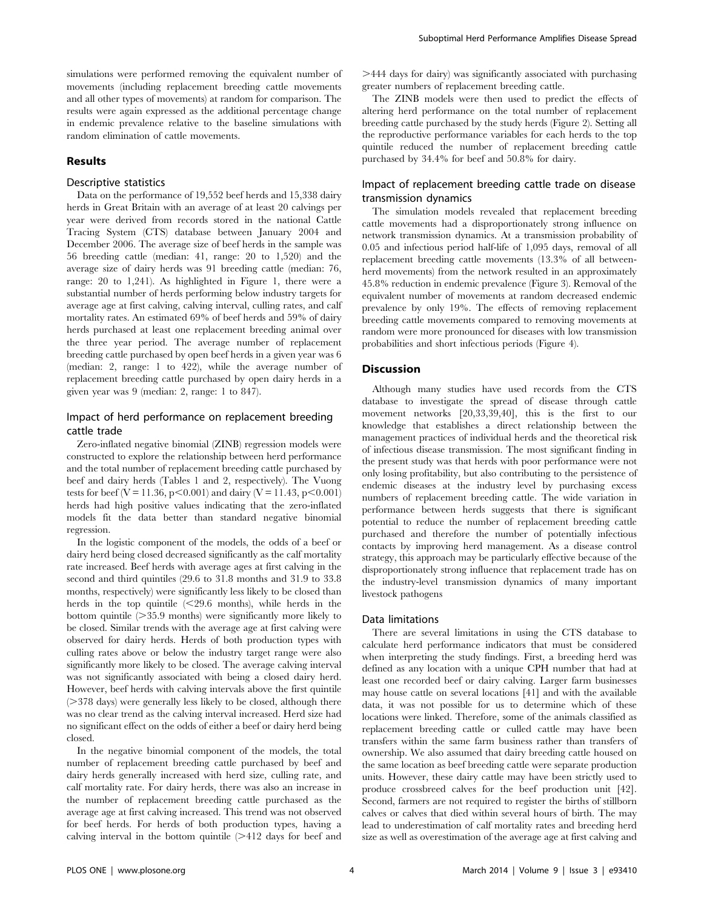simulations were performed removing the equivalent number of movements (including replacement breeding cattle movements and all other types of movements) at random for comparison. The results were again expressed as the additional percentage change in endemic prevalence relative to the baseline simulations with random elimination of cattle movements.

#### Results

#### Descriptive statistics

Data on the performance of 19,552 beef herds and 15,338 dairy herds in Great Britain with an average of at least 20 calvings per year were derived from records stored in the national Cattle Tracing System (CTS) database between January 2004 and December 2006. The average size of beef herds in the sample was 56 breeding cattle (median: 41, range: 20 to 1,520) and the average size of dairy herds was 91 breeding cattle (median: 76, range: 20 to 1,241). As highlighted in Figure 1, there were a substantial number of herds performing below industry targets for average age at first calving, calving interval, culling rates, and calf mortality rates. An estimated 69% of beef herds and 59% of dairy herds purchased at least one replacement breeding animal over the three year period. The average number of replacement breeding cattle purchased by open beef herds in a given year was 6 (median: 2, range: 1 to 422), while the average number of replacement breeding cattle purchased by open dairy herds in a given year was 9 (median: 2, range: 1 to 847).

### Impact of herd performance on replacement breeding cattle trade

Zero-inflated negative binomial (ZINB) regression models were constructed to explore the relationship between herd performance and the total number of replacement breeding cattle purchased by beef and dairy herds (Tables 1 and 2, respectively). The Vuong tests for beef (V = 11.36, p $\leq$ 0.001) and dairy (V = 11.43, p $\leq$ 0.001) herds had high positive values indicating that the zero-inflated models fit the data better than standard negative binomial regression.

In the logistic component of the models, the odds of a beef or dairy herd being closed decreased significantly as the calf mortality rate increased. Beef herds with average ages at first calving in the second and third quintiles (29.6 to 31.8 months and 31.9 to 33.8 months, respectively) were significantly less likely to be closed than herds in the top quintile  $\leq$  29.6 months), while herds in the bottom quintile  $(>= 35.9 \text{ months})$  were significantly more likely to be closed. Similar trends with the average age at first calving were observed for dairy herds. Herds of both production types with culling rates above or below the industry target range were also significantly more likely to be closed. The average calving interval was not significantly associated with being a closed dairy herd. However, beef herds with calving intervals above the first quintile ( $>$ 378 days) were generally less likely to be closed, although there was no clear trend as the calving interval increased. Herd size had no significant effect on the odds of either a beef or dairy herd being closed.

In the negative binomial component of the models, the total number of replacement breeding cattle purchased by beef and dairy herds generally increased with herd size, culling rate, and calf mortality rate. For dairy herds, there was also an increase in the number of replacement breeding cattle purchased as the average age at first calving increased. This trend was not observed for beef herds. For herds of both production types, having a calving interval in the bottom quintile  $(>= 412)$  days for beef and  $>$ 444 days for dairy) was significantly associated with purchasing greater numbers of replacement breeding cattle.

The ZINB models were then used to predict the effects of altering herd performance on the total number of replacement breeding cattle purchased by the study herds (Figure 2). Setting all the reproductive performance variables for each herds to the top quintile reduced the number of replacement breeding cattle purchased by 34.4% for beef and 50.8% for dairy.

## Impact of replacement breeding cattle trade on disease transmission dynamics

The simulation models revealed that replacement breeding cattle movements had a disproportionately strong influence on network transmission dynamics. At a transmission probability of 0.05 and infectious period half-life of 1,095 days, removal of all replacement breeding cattle movements (13.3% of all betweenherd movements) from the network resulted in an approximately 45.8% reduction in endemic prevalence (Figure 3). Removal of the equivalent number of movements at random decreased endemic prevalence by only 19%. The effects of removing replacement breeding cattle movements compared to removing movements at random were more pronounced for diseases with low transmission probabilities and short infectious periods (Figure 4).

#### Discussion

Although many studies have used records from the CTS database to investigate the spread of disease through cattle movement networks [20,33,39,40], this is the first to our knowledge that establishes a direct relationship between the management practices of individual herds and the theoretical risk of infectious disease transmission. The most significant finding in the present study was that herds with poor performance were not only losing profitability, but also contributing to the persistence of endemic diseases at the industry level by purchasing excess numbers of replacement breeding cattle. The wide variation in performance between herds suggests that there is significant potential to reduce the number of replacement breeding cattle purchased and therefore the number of potentially infectious contacts by improving herd management. As a disease control strategy, this approach may be particularly effective because of the disproportionately strong influence that replacement trade has on the industry-level transmission dynamics of many important livestock pathogens

#### Data limitations

There are several limitations in using the CTS database to calculate herd performance indicators that must be considered when interpreting the study findings. First, a breeding herd was defined as any location with a unique CPH number that had at least one recorded beef or dairy calving. Larger farm businesses may house cattle on several locations [41] and with the available data, it was not possible for us to determine which of these locations were linked. Therefore, some of the animals classified as replacement breeding cattle or culled cattle may have been transfers within the same farm business rather than transfers of ownership. We also assumed that dairy breeding cattle housed on the same location as beef breeding cattle were separate production units. However, these dairy cattle may have been strictly used to produce crossbreed calves for the beef production unit [42]. Second, farmers are not required to register the births of stillborn calves or calves that died within several hours of birth. The may lead to underestimation of calf mortality rates and breeding herd size as well as overestimation of the average age at first calving and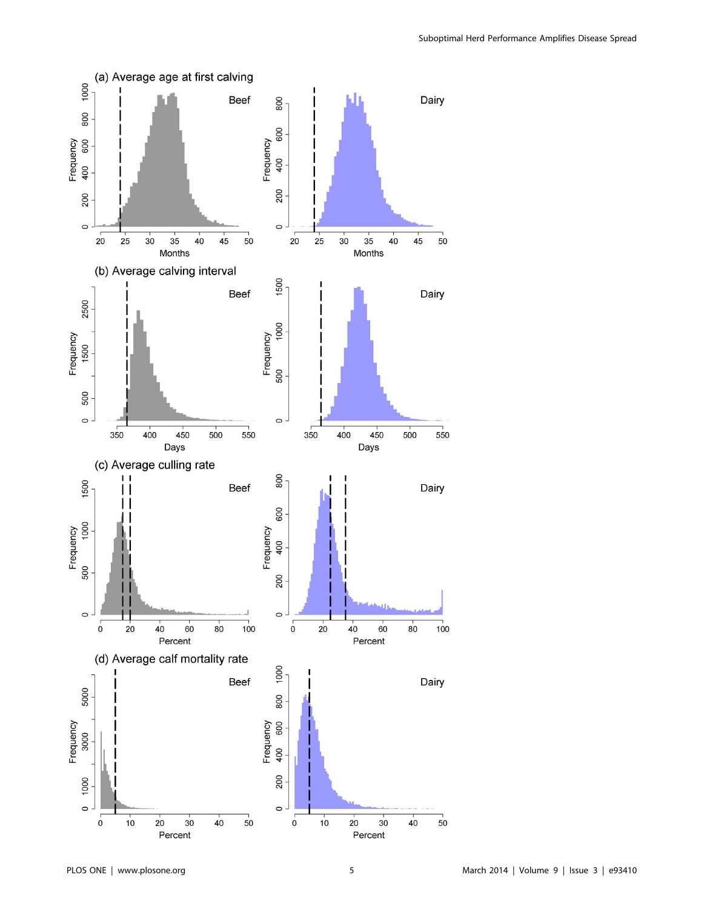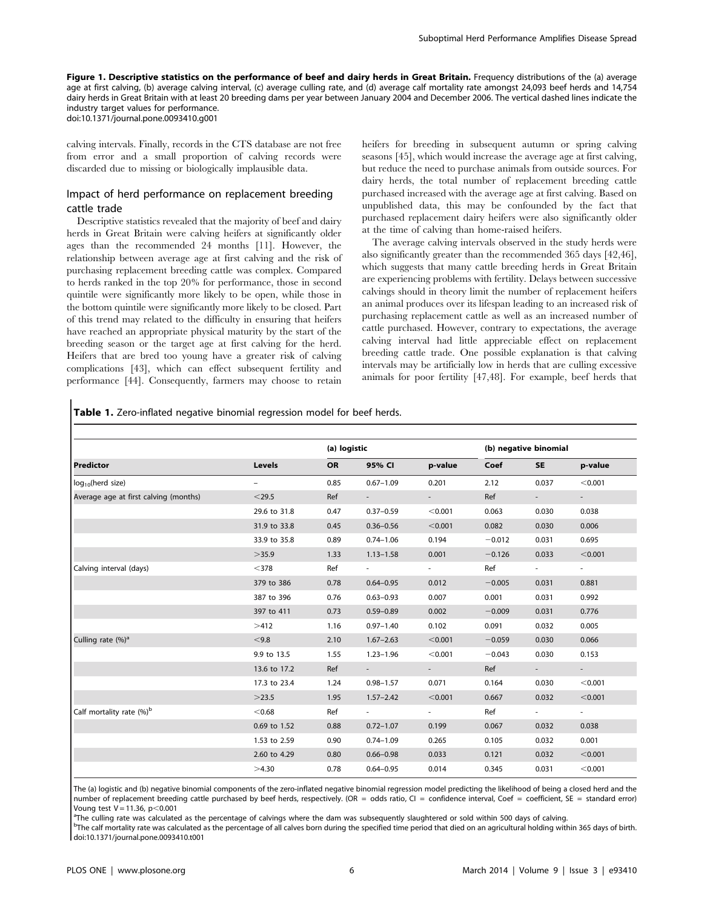Figure 1. Descriptive statistics on the performance of beef and dairy herds in Great Britain. Frequency distributions of the (a) average age at first calving, (b) average calving interval, (c) average culling rate, and (d) average calf mortality rate amongst 24,093 beef herds and 14,754 dairy herds in Great Britain with at least 20 breeding dams per year between January 2004 and December 2006. The vertical dashed lines indicate the industry target values for performance. doi:10.1371/journal.pone.0093410.g001

calving intervals. Finally, records in the CTS database are not free from error and a small proportion of calving records were discarded due to missing or biologically implausible data.

## Impact of herd performance on replacement breeding cattle trade

Descriptive statistics revealed that the majority of beef and dairy herds in Great Britain were calving heifers at significantly older ages than the recommended 24 months [11]. However, the relationship between average age at first calving and the risk of purchasing replacement breeding cattle was complex. Compared to herds ranked in the top 20% for performance, those in second quintile were significantly more likely to be open, while those in the bottom quintile were significantly more likely to be closed. Part of this trend may related to the difficulty in ensuring that heifers have reached an appropriate physical maturity by the start of the breeding season or the target age at first calving for the herd. Heifers that are bred too young have a greater risk of calving complications [43], which can effect subsequent fertility and performance [44]. Consequently, farmers may choose to retain

heifers for breeding in subsequent autumn or spring calving seasons [45], which would increase the average age at first calving, but reduce the need to purchase animals from outside sources. For dairy herds, the total number of replacement breeding cattle purchased increased with the average age at first calving. Based on unpublished data, this may be confounded by the fact that purchased replacement dairy heifers were also significantly older at the time of calving than home-raised heifers.

The average calving intervals observed in the study herds were also significantly greater than the recommended 365 days [42,46], which suggests that many cattle breeding herds in Great Britain are experiencing problems with fertility. Delays between successive calvings should in theory limit the number of replacement heifers an animal produces over its lifespan leading to an increased risk of purchasing replacement cattle as well as an increased number of cattle purchased. However, contrary to expectations, the average calving interval had little appreciable effect on replacement breeding cattle trade. One possible explanation is that calving intervals may be artificially low in herds that are culling excessive animals for poor fertility [47,48]. For example, beef herds that

Table 1. Zero-inflated negative binomial regression model for beef herds.

| <b>Predictor</b>                      | <b>Levels</b>            | (a) logistic |               |                    | (b) negative binomial |                     |            |
|---------------------------------------|--------------------------|--------------|---------------|--------------------|-----------------------|---------------------|------------|
|                                       |                          | OR           | 95% CI        | p-value            | Coef                  | <b>SE</b>           | p-value    |
| log <sub>10</sub> (herd size)         | $\overline{\phantom{0}}$ | 0.85         | $0.67 - 1.09$ | 0.201              | 2.12                  | 0.037               | < 0.001    |
| Average age at first calving (months) | $<$ 29.5                 | Ref          |               |                    | Ref                   | $\sim$              |            |
|                                       | 29.6 to 31.8             | 0.47         | $0.37 - 0.59$ | < 0.001            | 0.063                 | 0.030               | 0.038      |
|                                       | 31.9 to 33.8             | 0.45         | $0.36 - 0.56$ | < 0.001            | 0.082                 | 0.030               | 0.006      |
|                                       | 33.9 to 35.8             | 0.89         | $0.74 - 1.06$ | 0.194              | $-0.012$              | 0.031               | 0.695      |
|                                       | >35.9                    | 1.33         | $1.13 - 1.58$ | 0.001              | $-0.126$              | 0.033               | < 0.001    |
| Calving interval (days)               | $<$ 378                  | Ref          | $\sim 100$    | <b>All Control</b> | Ref                   | $\sigma_{\rm{max}}$ | $\sim$     |
|                                       | 379 to 386               | 0.78         | $0.64 - 0.95$ | 0.012              | $-0.005$              | 0.031               | 0.881      |
|                                       | 387 to 396               | 0.76         | $0.63 - 0.93$ | 0.007              | 0.001                 | 0.031               | 0.992      |
|                                       | 397 to 411               | 0.73         | $0.59 - 0.89$ | 0.002              | $-0.009$              | 0.031               | 0.776      |
|                                       | >412                     | 1.16         | $0.97 - 1.40$ | 0.102              | 0.091                 | 0.032               | 0.005      |
| Culling rate $(%)a$                   | < 9.8                    | 2.10         | $1.67 - 2.63$ | < 0.001            | $-0.059$              | 0.030               | 0.066      |
|                                       | 9.9 to 13.5              | 1.55         | $1.23 - 1.96$ | < 0.001            | $-0.043$              | 0.030               | 0.153      |
|                                       | 13.6 to 17.2             | Ref          |               |                    | Ref                   | and the             |            |
|                                       | 17.3 to 23.4             | 1.24         | $0.98 - 1.57$ | 0.071              | 0.164                 | 0.030               | < 0.001    |
|                                       | >23.5                    | 1.95         | $1.57 - 2.42$ | < 0.001            | 0.667                 | 0.032               | < 0.001    |
| Calf mortality rate $(%)^b$           | < 0.68                   | Ref          | $\sim 100$    | <b>All Control</b> | Ref                   | $\sim 100$          | $\sim 100$ |
|                                       | 0.69 to 1.52             | 0.88         | $0.72 - 1.07$ | 0.199              | 0.067                 | 0.032               | 0.038      |
|                                       | 1.53 to 2.59             | 0.90         | $0.74 - 1.09$ | 0.265              | 0.105                 | 0.032               | 0.001      |
|                                       | 2.60 to 4.29             | 0.80         | $0.66 - 0.98$ | 0.033              | 0.121                 | 0.032               | < 0.001    |
|                                       | >4.30                    | 0.78         | $0.64 - 0.95$ | 0.014              | 0.345                 | 0.031               | < 0.001    |

The (a) logistic and (b) negative binomial components of the zero-inflated negative binomial regression model predicting the likelihood of being a closed herd and the number of replacement breeding cattle purchased by beef herds, respectively. (OR = odds ratio, CI = confidence interval, Coef = coefficient, SE = standard error) Voung test  $V = 11.36$ ,  $p < 0.001$ 

<sup>a</sup>The culling rate was calculated as the percentage of calvings where the dam was subsequently slaughtered or sold within 500 days of calving.

<sup>b</sup>The calf mortality rate was calculated as the percentage of all calves born during the specified time period that died on an agricultural holding within 365 days of birth. doi:10.1371/journal.pone.0093410.t001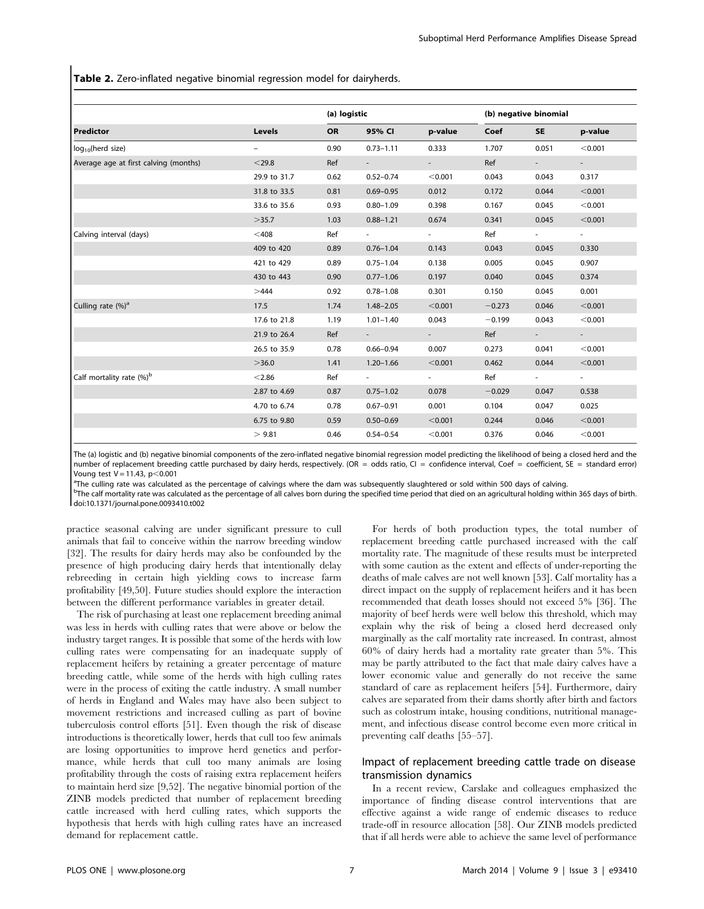Table 2. Zero-inflated negative binomial regression model for dairyherds.

| <b>Predictor</b>                      | Levels                   | (a) logistic |                      |                      | (b) negative binomial |                    |                    |
|---------------------------------------|--------------------------|--------------|----------------------|----------------------|-----------------------|--------------------|--------------------|
|                                       |                          | <b>OR</b>    | 95% CI               | p-value              | Coef                  | <b>SE</b>          | p-value            |
| log <sub>10</sub> (herd size)         | $\overline{\phantom{0}}$ | 0.90         | $0.73 - 1.11$        | 0.333                | 1.707                 | 0.051              | < 0.001            |
| Average age at first calving (months) | $<$ 29.8                 | Ref          | $\sim 100$           | <b>All Control</b>   | Ref                   | <b>All College</b> | <b>All Control</b> |
|                                       | 29.9 to 31.7             | 0.62         | $0.52 - 0.74$        | < 0.001              | 0.043                 | 0.043              | 0.317              |
|                                       | 31.8 to 33.5             | 0.81         | $0.69 - 0.95$        | 0.012                | 0.172                 | 0.044              | < 0.001            |
|                                       | 33.6 to 35.6             | 0.93         | $0.80 - 1.09$        | 0.398                | 0.167                 | 0.045              | < 0.001            |
|                                       | >35.7                    | 1.03         | $0.88 - 1.21$        | 0.674                | 0.341                 | 0.045              | < 0.001            |
| Calving interval (days)               | $<$ 408                  | Ref          | <b>All Contracts</b> | <b>State Street</b>  | Ref                   | <b>All Control</b> | <b>All Control</b> |
|                                       | 409 to 420               | 0.89         | $0.76 - 1.04$        | 0.143                | 0.043                 | 0.045              | 0.330              |
|                                       | 421 to 429               | 0.89         | $0.75 - 1.04$        | 0.138                | 0.005                 | 0.045              | 0.907              |
|                                       | 430 to 443               | 0.90         | $0.77 - 1.06$        | 0.197                | 0.040                 | 0.045              | 0.374              |
|                                       | >444                     | 0.92         | $0.78 - 1.08$        | 0.301                | 0.150                 | 0.045              | 0.001              |
| Culling rate $(\%)^a$                 | 17.5                     | 1.74         | $1.48 - 2.05$        | < 0.001              | $-0.273$              | 0.046              | < 0.001            |
|                                       | 17.6 to 21.8             | 1.19         | $1.01 - 1.40$        | 0.043                | $-0.199$              | 0.043              | < 0.001            |
|                                       | 21.9 to 26.4             | Ref          |                      | and the              | Ref                   | $\sim 100$         |                    |
|                                       | 26.5 to 35.9             | 0.78         | $0.66 - 0.94$        | 0.007                | 0.273                 | 0.041              | < 0.001            |
|                                       | >36.0                    | 1.41         | $1.20 - 1.66$        | < 0.001              | 0.462                 | 0.044              | < 0.001            |
| Calf mortality rate (%) <sup>b</sup>  | < 2.86                   | Ref          | <b>All College</b>   | <b>All Contracts</b> | Ref                   | <b>All Control</b> | <b>All Control</b> |
|                                       | 2.87 to 4.69             | 0.87         | $0.75 - 1.02$        | 0.078                | $-0.029$              | 0.047              | 0.538              |
|                                       | 4.70 to 6.74             | 0.78         | $0.67 - 0.91$        | 0.001                | 0.104                 | 0.047              | 0.025              |
|                                       | 6.75 to 9.80             | 0.59         | $0.50 - 0.69$        | < 0.001              | 0.244                 | 0.046              | < 0.001            |
|                                       | > 9.81                   | 0.46         | $0.54 - 0.54$        | < 0.001              | 0.376                 | 0.046              | < 0.001            |

The (a) logistic and (b) negative binomial components of the zero-inflated negative binomial regression model predicting the likelihood of being a closed herd and the number of replacement breeding cattle purchased by dairy herds, respectively. (OR = odds ratio, CI = confidence interval, Coef = coefficient, SE = standard error) Voung test  $V = 11.43$ ,  $p < 0.001$ 

<sup>a</sup>The culling rate was calculated as the percentage of calvings where the dam was subsequently slaughtered or sold within 500 days of calving.

<sup>b</sup>The calf mortality rate was calculated as the percentage of all calves born during the specified time period that died on an agricultural holding within 365 days of birth. doi:10.1371/journal.pone.0093410.t002

practice seasonal calving are under significant pressure to cull animals that fail to conceive within the narrow breeding window [32]. The results for dairy herds may also be confounded by the presence of high producing dairy herds that intentionally delay rebreeding in certain high yielding cows to increase farm profitability [49,50]. Future studies should explore the interaction between the different performance variables in greater detail.

The risk of purchasing at least one replacement breeding animal was less in herds with culling rates that were above or below the industry target ranges. It is possible that some of the herds with low culling rates were compensating for an inadequate supply of replacement heifers by retaining a greater percentage of mature breeding cattle, while some of the herds with high culling rates were in the process of exiting the cattle industry. A small number of herds in England and Wales may have also been subject to movement restrictions and increased culling as part of bovine tuberculosis control efforts [51]. Even though the risk of disease introductions is theoretically lower, herds that cull too few animals are losing opportunities to improve herd genetics and performance, while herds that cull too many animals are losing profitability through the costs of raising extra replacement heifers to maintain herd size [9,52]. The negative binomial portion of the ZINB models predicted that number of replacement breeding cattle increased with herd culling rates, which supports the hypothesis that herds with high culling rates have an increased demand for replacement cattle.

For herds of both production types, the total number of replacement breeding cattle purchased increased with the calf mortality rate. The magnitude of these results must be interpreted with some caution as the extent and effects of under-reporting the deaths of male calves are not well known [53]. Calf mortality has a direct impact on the supply of replacement heifers and it has been recommended that death losses should not exceed 5% [36]. The majority of beef herds were well below this threshold, which may explain why the risk of being a closed herd decreased only marginally as the calf mortality rate increased. In contrast, almost 60% of dairy herds had a mortality rate greater than 5%. This may be partly attributed to the fact that male dairy calves have a lower economic value and generally do not receive the same standard of care as replacement heifers [54]. Furthermore, dairy calves are separated from their dams shortly after birth and factors such as colostrum intake, housing conditions, nutritional management, and infectious disease control become even more critical in preventing calf deaths [55–57].

### Impact of replacement breeding cattle trade on disease transmission dynamics

In a recent review, Carslake and colleagues emphasized the importance of finding disease control interventions that are effective against a wide range of endemic diseases to reduce trade-off in resource allocation [58]. Our ZINB models predicted that if all herds were able to achieve the same level of performance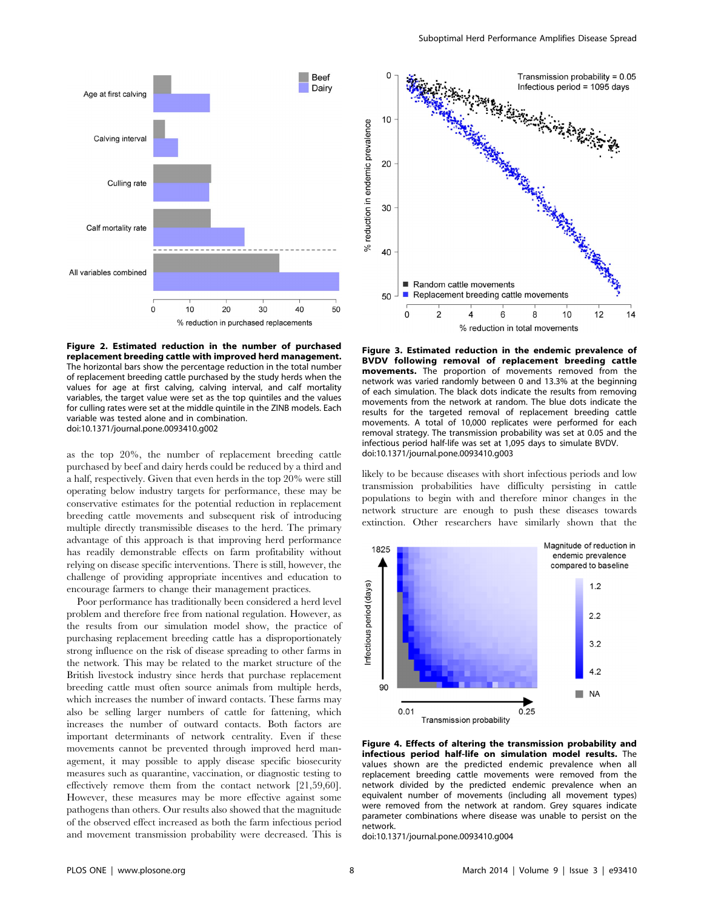

Figure 2. Estimated reduction in the number of purchased replacement breeding cattle with improved herd management. The horizontal bars show the percentage reduction in the total number of replacement breeding cattle purchased by the study herds when the values for age at first calving, calving interval, and calf mortality variables, the target value were set as the top quintiles and the values for culling rates were set at the middle quintile in the ZINB models. Each variable was tested alone and in combination. doi:10.1371/journal.pone.0093410.g002

as the top 20%, the number of replacement breeding cattle purchased by beef and dairy herds could be reduced by a third and a half, respectively. Given that even herds in the top 20% were still operating below industry targets for performance, these may be conservative estimates for the potential reduction in replacement breeding cattle movements and subsequent risk of introducing multiple directly transmissible diseases to the herd. The primary advantage of this approach is that improving herd performance has readily demonstrable effects on farm profitability without relying on disease specific interventions. There is still, however, the challenge of providing appropriate incentives and education to encourage farmers to change their management practices.

Poor performance has traditionally been considered a herd level problem and therefore free from national regulation. However, as the results from our simulation model show, the practice of purchasing replacement breeding cattle has a disproportionately strong influence on the risk of disease spreading to other farms in the network. This may be related to the market structure of the British livestock industry since herds that purchase replacement breeding cattle must often source animals from multiple herds, which increases the number of inward contacts. These farms may also be selling larger numbers of cattle for fattening, which increases the number of outward contacts. Both factors are important determinants of network centrality. Even if these movements cannot be prevented through improved herd management, it may possible to apply disease specific biosecurity measures such as quarantine, vaccination, or diagnostic testing to effectively remove them from the contact network [21,59,60]. However, these measures may be more effective against some pathogens than others. Our results also showed that the magnitude of the observed effect increased as both the farm infectious period and movement transmission probability were decreased. This is



Figure 3. Estimated reduction in the endemic prevalence of BVDV following removal of replacement breeding cattle movements. The proportion of movements removed from the network was varied randomly between 0 and 13.3% at the beginning of each simulation. The black dots indicate the results from removing movements from the network at random. The blue dots indicate the results for the targeted removal of replacement breeding cattle movements. A total of 10,000 replicates were performed for each removal strategy. The transmission probability was set at 0.05 and the infectious period half-life was set at 1,095 days to simulate BVDV. doi:10.1371/journal.pone.0093410.g003

likely to be because diseases with short infectious periods and low transmission probabilities have difficulty persisting in cattle populations to begin with and therefore minor changes in the network structure are enough to push these diseases towards extinction. Other researchers have similarly shown that the



Figure 4. Effects of altering the transmission probability and infectious period half-life on simulation model results. The values shown are the predicted endemic prevalence when all replacement breeding cattle movements were removed from the network divided by the predicted endemic prevalence when an equivalent number of movements (including all movement types) were removed from the network at random. Grey squares indicate parameter combinations where disease was unable to persist on the network.

doi:10.1371/journal.pone.0093410.g004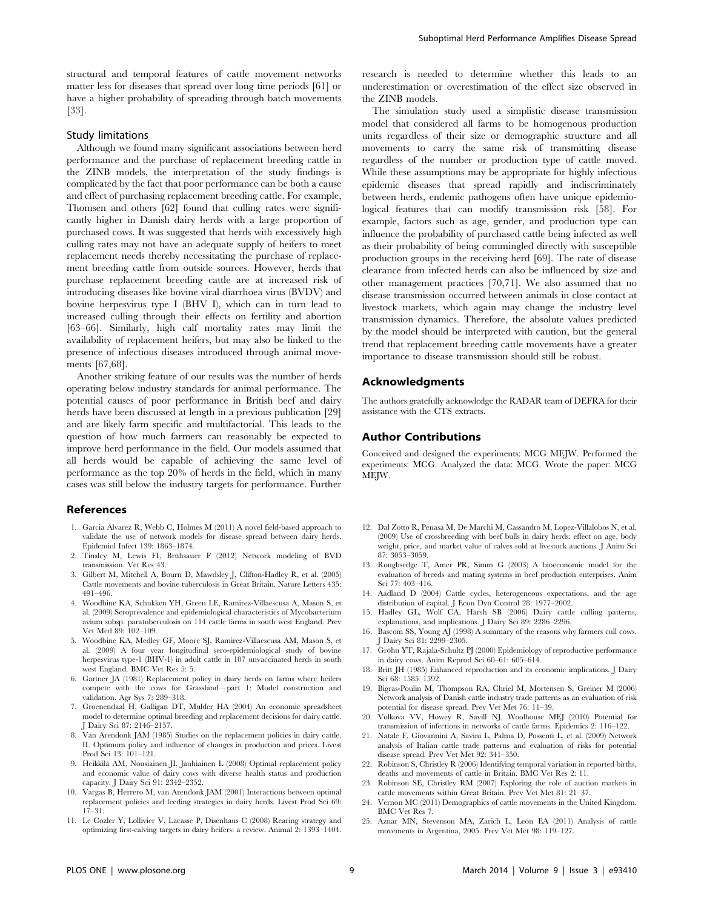#### Study limitations

[33].

Although we found many significant associations between herd performance and the purchase of replacement breeding cattle in the ZINB models, the interpretation of the study findings is complicated by the fact that poor performance can be both a cause and effect of purchasing replacement breeding cattle. For example, Thomsen and others [62] found that culling rates were significantly higher in Danish dairy herds with a large proportion of purchased cows. It was suggested that herds with excessively high culling rates may not have an adequate supply of heifers to meet replacement needs thereby necessitating the purchase of replacement breeding cattle from outside sources. However, herds that purchase replacement breeding cattle are at increased risk of introducing diseases like bovine viral diarrhoea virus (BVDV) and bovine herpesvirus type I (BHV I), which can in turn lead to increased culling through their effects on fertility and abortion [63–66]. Similarly, high calf mortality rates may limit the availability of replacement heifers, but may also be linked to the presence of infectious diseases introduced through animal movements [67,68].

Another striking feature of our results was the number of herds operating below industry standards for animal performance. The potential causes of poor performance in British beef and dairy herds have been discussed at length in a previous publication [29] and are likely farm specific and multifactorial. This leads to the question of how much farmers can reasonably be expected to improve herd performance in the field. Our models assumed that all herds would be capable of achieving the same level of performance as the top 20% of herds in the field, which in many cases was still below the industry targets for performance. Further

#### References

- 1. Garcia Alvarez R, Webb C, Holmes M (2011) A novel field-based approach to validate the use of network models for disease spread between dairy herds. Epidemiol Infect 139: 1863–1874.
- 2. Tinsley M, Lewis FI, Brülisauer F (2012) Network modeling of BVD transmission. Vet Res 43.
- 3. Gilbert M, Mitchell A, Bourn D, Mawdsley J, Clifton-Hadley R, et al. (2005) Cattle movements and bovine tuberculosis in Great Britain. Nature Letters 435: 491–496.
- 4. Woodbine KA, Schukken YH, Green LE, Ramirez-Villaescusa A, Mason S, et al. (2009) Seroprevalence and epidemiological characteristics of Mycobacterium avium subsp. paratuberculosis on 114 cattle farms in south west England. Prev Vet Med 89: 102–109.
- 5. Woodbine KA, Medley GF, Moore SJ, Ramirez-Villaescusa AM, Mason S, et al. (2009) A four year longitudinal sero-epidemiological study of bovine herpesvirus type-1 (BHV-1) in adult cattle in 107 unvaccinated herds in south west England. BMC Vet Res 5: 5.
- 6. Gartner JA (1981) Replacement policy in dairy herds on farms where heifers compete with the cows for Grassland—part 1: Model construction and validation. Agr Sys 7: 289–318.
- 7. Groenendaal H, Galligan DT, Mulder HA (2004) An economic spreadsheet model to determine optimal breeding and replacement decisions for dairy cattle. J Dairy Sci 87: 2146–2157.
- Van Arendonk JAM (1985) Studies on the replacement policies in dairy cattle. II. Optimum policy and influence of changes in production and prices. Livest Prod Sci 13: 101–121.
- 9. Heikkilä AM, Nousiainen JI, Jauhiainen L (2008) Optimal replacement policy and economic value of dairy cows with diverse health status and production capacity. J Dairy Sci 91: 2342–2352.
- 10. Vargas B, Herrero M, van Arendonk JAM (2001) Interactions between optimal replacement policies and feeding strategies in dairy herds. Livest Prod Sci 69: 17–31.
- 11. Le Cozler Y, Lollivier V, Lacasse P, Disenhaus C (2008) Rearing strategy and optimizing first-calving targets in dairy heifers: a review. Animal 2: 1393–1404.

research is needed to determine whether this leads to an underestimation or overestimation of the effect size observed in the ZINB models.

The simulation study used a simplistic disease transmission model that considered all farms to be homogenous production units regardless of their size or demographic structure and all movements to carry the same risk of transmitting disease regardless of the number or production type of cattle moved. While these assumptions may be appropriate for highly infectious epidemic diseases that spread rapidly and indiscriminately between herds, endemic pathogens often have unique epidemiological features that can modify transmission risk [58]. For example, factors such as age, gender, and production type can influence the probability of purchased cattle being infected as well as their probability of being commingled directly with susceptible production groups in the receiving herd [69]. The rate of disease clearance from infected herds can also be influenced by size and other management practices [70,71]. We also assumed that no disease transmission occurred between animals in close contact at livestock markets, which again may change the industry level transmission dynamics. Therefore, the absolute values predicted by the model should be interpreted with caution, but the general trend that replacement breeding cattle movements have a greater importance to disease transmission should still be robust.

#### Acknowledgments

The authors gratefully acknowledge the RADAR team of DEFRA for their assistance with the CTS extracts.

#### Author Contributions

Conceived and designed the experiments: MCG MEJW. Performed the experiments: MCG. Analyzed the data: MCG. Wrote the paper: MCG MEIW.

- 12. Dal Zotto R, Penasa M, De Marchi M, Cassandro M, Lopez-Villalobos N, et al. (2009) Use of crossbreeding with beef bulls in dairy herds: effect on age, body weight, price, and market value of calves sold at livestock auctions. J Anim Sci 87: 3053–3059.
- 13. Roughsedge T, Amer PR, Simm G (2003) A bioeconomic model for the evaluation of breeds and mating systems in beef production enterprises. Anim Sci 77: 403–416.
- 14. Aadland D (2004) Cattle cycles, heterogeneous expectations, and the age distribution of capital. J Econ Dyn Control 28: 1977–2002.
- 15. Hadley GL, Wolf CA, Harsh SB (2006) Dairy cattle culling patterns, explanations, and implications. J Dairy Sci 89: 2286–2296.
- 16. Bascom SS, Young AJ (1998) A summary of the reasons why farmers cull cows. J Dairy Sci 81: 2299–2305.
- 17. Gröhn YT, Rajala-Schultz PJ (2000) Epidemiology of reproductive performance in dairy cows. Anim Reprod Sci 60–61: 605–614.
- 18. Britt JH (1985) Enhanced reproduction and its economic implications. J Dairy Sci 68: 1585–1592.
- 19. Bigras-Poulin M, Thompson RA, Chriel M, Mortensen S, Greiner M (2006) Network analysis of Danish cattle industry trade patterns as an evaluation of risk potential for disease spread. Prev Vet Met 76: 11–39.
- 20. Volkova VV, Howey R, Savill NJ, Woolhouse MEJ (2010) Potential for transmission of infections in networks of cattle farms. Epidemics 2: 116–122.
- 21. Natale F, Giovannini A, Savini L, Palma D, Possenti L, et al. (2009) Network analysis of Italian cattle trade patterns and evaluation of risks for potential disease spread. Prev Vet Met 92: 341–350.
- 22. Robinson S, Christley R (2006) Identifying temporal variation in reported births, deaths and movements of cattle in Britain. BMC Vet Res 2: 11.
- 23. Robinson SE, Christley RM (2007) Exploring the role of auction markets in cattle movements within Great Britain. Prev Vet Met 81: 21–37.
- 24. Vernon MC (2011) Demographics of cattle movements in the United Kingdom. BMC Vet Res 7.
- 25. Aznar MN, Stevenson MA, Zarich L, León EA (2011) Analysis of cattle movements in Argentina, 2005. Prev Vet Met 98: 119–127.